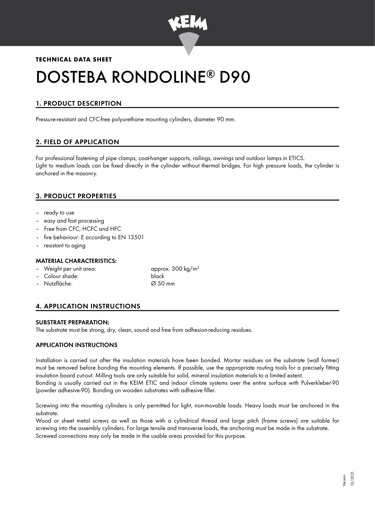

## **TECHNICAL DATA SHEET**

# DOSTEBA RONDOLINE® D90

## 1. PRODUCT DESCRIPTION

Pressure-resistant and CFC-free polyurethane mounting cylinders, diameter 90 mm.

## 2. FIELD OF APPLICATION

For professional fastening of pipe clamps, coat-hanger supports, railings, awnings and outdoor lamps in ETICS. Light to medium loads can be fixed directly in the cylinder without thermal bridges. For high pressure loads, the cylinder is anchored in the masonry.

## 3. PRODUCT PROPERTIES

- ready to use
- easy and fast processing
- Free from CFC, HCFC and HFC
- fire behaviour: E according to EN 13501
- resistant to agina

#### MATERIAL CHARACTERISTICS:

- Weight per unit area: approx. 300 kg/m<sup>3</sup>
- Colour shade: black
- Nutzfläche: Ø 50 mm
- 

## 4. APPLICATION INSTRUCTIONS

#### SUBSTRATE PREPARATION:

The substrate must be strong, dry, clean, sound and free from adhesion-reducing residues.

#### APPLICATION INSTRUCTIONS

Installation is carried out after the insulation materials have been bonded. Mortar residues on the substrate (wall former) must be removed before bonding the mounting elements. If possible, use the appropriate routing tools for a precisely fitting insulation board cut-out. Milling tools are only suitable for solid, mineral insulation materials to a limited extent. Bonding is usually carried out in the KEIM ETIC and indoor climate systems over the entire surface with Pulverkleber-90 (powder adhesive-90). Bonding on wooden substrates with adhesive filler.

Screwing into the mounting cylinders is only permitted for light, non-movable loads. Heavy loads must be anchored in the substrate.

Wood or sheet metal screws as well as those with a cylindrical thread and large pitch (frame screws) are suitable for screwing into the assembly cylinders. For large tensile and transverse loads, the anchoring must be made in the substrate. Screwed connections may only be made in the usable areas provided for this purpose.